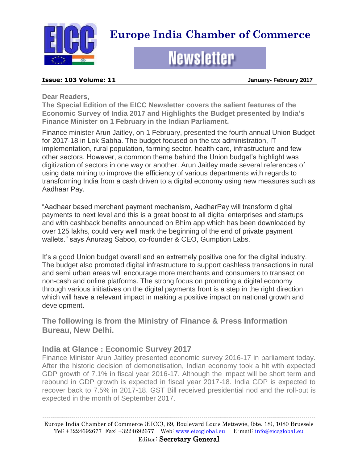

# **Europe India Chamber of Commerce**

# **Newsletter**

#### **Issue: 103 Volume: 11 January- February 2017**

**Dear Readers,**

**The Special Edition of the EICC Newsletter covers the salient features of the Economic Survey of India 2017 and Highlights the Budget presented by India's Finance Minister on 1 February in the Indian Parliament.** 

Finance minister Arun Jaitley, on 1 February, presented the fourth annual Union Budget for 2017-18 in Lok Sabha. The budget focused on the tax administration, IT implementation, rural population, farming sector, health care, infrastructure and few other sectors. However, a common theme behind the Union budget's highlight was digitization of sectors in one way or another. Arun Jaitley made several references of using data mining to improve the efficiency of various departments with regards to transforming India from a cash driven to a digital economy using new measures such as Aadhaar Pay.

"Aadhaar based merchant payment mechanism, AadharPay will transform digital payments to next level and this is a great boost to all digital enterprises and startups and with cashback benefits announced on Bhim app which has been downloaded by over 125 lakhs, could very well mark the beginning of the end of private payment wallets." says Anuraag Saboo, co-founder & CEO, Gumption Labs.

It's a good Union budget overall and an extremely positive one for the digital industry. The budget also promoted digital infrastructure to support cashless transactions in rural and semi urban areas will encourage more merchants and consumers to transact on non-cash and online platforms. The strong focus on promoting a digital economy through various initiatives on the digital payments front is a step in the right direction which will have a relevant impact in making a positive impact on national growth and development.

**The following is from the Ministry of Finance & Press Information Bureau, New Delhi.**

# **India at Glance : Economic Survey 2017**

Finance Minister Arun Jaitley presented economic survey 2016-17 in parliament today. After the historic decision of demonetisation, Indian economy took a hit with expected GDP growth of 7.1% in fiscal year 2016-17. Although the impact will be short term and rebound in GDP growth is expected in fiscal year 2017-18. India GDP is expected to recover back to 7.5% in 2017-18. GST Bill received presidential nod and the roll-out is expected in the month of September 2017.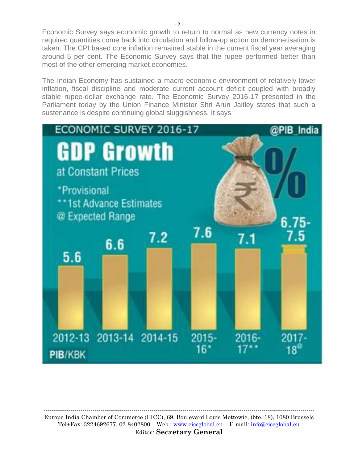Economic Survey says economic growth to return to normal as new currency notes in required quantities come back into circulation and follow-up action on demonetisation is taken. The CPI based core inflation remained stable in the current fiscal year averaging around 5 per cent. The Economic Survey says that the rupee performed better than most of the other emerging market economies.

The Indian Economy has sustained a macro-economic environment of relatively lower inflation, fiscal discipline and moderate current account deficit coupled with broadly stable rupee-dollar exchange rate. The Economic Survey 2016-17 presented in the Parliament today by the Union Finance Minister Shri Arun Jaitley states that such a sustenance is despite continuing global sluggishness. It says:

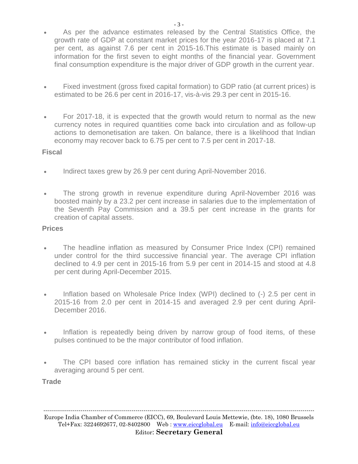- As per the advance estimates released by the Central Statistics Office, the growth rate of GDP at constant market prices for the year 2016-17 is placed at 7.1 per cent, as against 7.6 per cent in 2015-16.This estimate is based mainly on information for the first seven to eight months of the financial year. Government final consumption expenditure is the major driver of GDP growth in the current year.
- Fixed investment (gross fixed capital formation) to GDP ratio (at current prices) is estimated to be 26.6 per cent in 2016-17, vis-à-vis 29.3 per cent in 2015-16.
- For 2017-18, it is expected that the growth would return to normal as the new currency notes in required quantities come back into circulation and as follow-up actions to demonetisation are taken. On balance, there is a likelihood that Indian economy may recover back to 6.75 per cent to 7.5 per cent in 2017-18.

# **Fiscal**

- Indirect taxes grew by 26.9 per cent during April-November 2016.
- The strong growth in revenue expenditure during April-November 2016 was boosted mainly by a 23.2 per cent increase in salaries due to the implementation of the Seventh Pay Commission and a 39.5 per cent increase in the grants for creation of capital assets.

# **Prices**

- The headline inflation as measured by Consumer Price Index (CPI) remained under control for the third successive financial year. The average CPI inflation declined to 4.9 per cent in 2015-16 from 5.9 per cent in 2014-15 and stood at 4.8 per cent during April-December 2015.
- Inflation based on Wholesale Price Index (WPI) declined to (-) 2.5 per cent in 2015-16 from 2.0 per cent in 2014-15 and averaged 2.9 per cent during April-December 2016.
- Inflation is repeatedly being driven by narrow group of food items, of these pulses continued to be the major contributor of food inflation.
- The CPI based core inflation has remained sticky in the current fiscal year averaging around 5 per cent.

**Trade**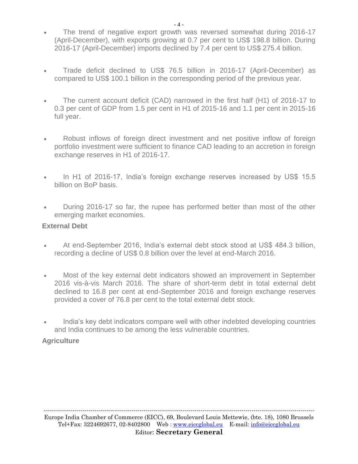- The trend of negative export growth was reversed somewhat during 2016-17 (April-December), with exports growing at 0.7 per cent to US\$ 198.8 billion. During 2016-17 (April-December) imports declined by 7.4 per cent to US\$ 275.4 billion.
- Trade deficit declined to US\$ 76.5 billion in 2016-17 (April-December) as compared to US\$ 100.1 billion in the corresponding period of the previous year.
- The current account deficit (CAD) narrowed in the first half (H1) of 2016-17 to 0.3 per cent of GDP from 1.5 per cent in H1 of 2015-16 and 1.1 per cent in 2015-16 full year.
- Robust inflows of foreign direct investment and net positive inflow of foreign portfolio investment were sufficient to finance CAD leading to an accretion in foreign exchange reserves in H1 of 2016-17.
- In H1 of 2016-17, India's foreign exchange reserves increased by US\$ 15.5 billion on BoP basis.
- During 2016-17 so far, the rupee has performed better than most of the other emerging market economies.

# **External Debt**

- At end-September 2016, India's external debt stock stood at US\$ 484.3 billion, recording a decline of US\$ 0.8 billion over the level at end-March 2016.
- Most of the key external debt indicators showed an improvement in September 2016 vis-à-vis March 2016. The share of short-term debt in total external debt declined to 16.8 per cent at end-September 2016 and foreign exchange reserves provided a cover of 76.8 per cent to the total external debt stock.
- India's key debt indicators compare well with other indebted developing countries and India continues to be among the less vulnerable countries.

# **Agriculture**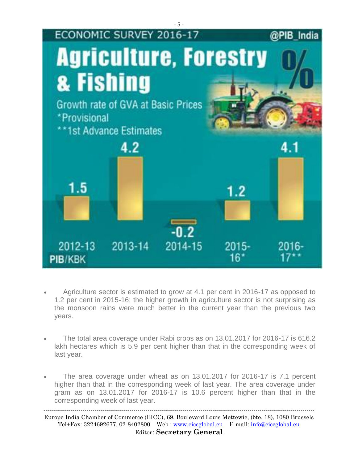

- Agriculture sector is estimated to grow at 4.1 per cent in 2016-17 as opposed to 1.2 per cent in 2015-16; the higher growth in agriculture sector is not surprising as the monsoon rains were much better in the current year than the previous two years.
- The total area coverage under Rabi crops as on 13.01.2017 for 2016-17 is 616.2 lakh hectares which is 5.9 per cent higher than that in the corresponding week of last year.
- The area coverage under wheat as on 13.01.2017 for 2016-17 is 7.1 percent higher than that in the corresponding week of last year. The area coverage under gram as on 13.01.2017 for 2016-17 is 10.6 percent higher than that in the corresponding week of last year.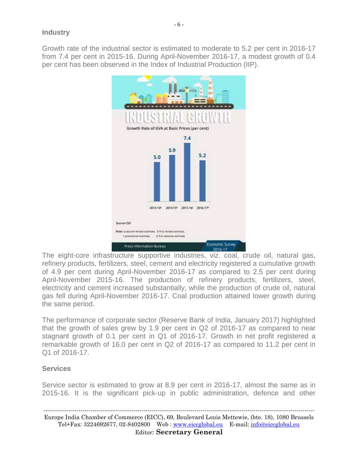Growth rate of the industrial sector is estimated to moderate to 5.2 per cent in 2016-17 from 7.4 per cent in 2015-16. During April-November 2016-17, a modest growth of 0.4 per cent has been observed in the Index of Industrial Production (IIP).



The eight-core infrastructure supportive industries, viz. coal, crude oil, natural gas, refinery products, fertilizers, steel, cement and electricity registered a cumulative growth of 4.9 per cent during April-November 2016-17 as compared to 2.5 per cent during April-November 2015-16. The production of refinery products, fertilizers, steel, electricity and cement increased substantially, while the production of crude oil, natural gas fell during April-November 2016-17. Coal production attained lower growth during the same period.

The performance of corporate sector (Reserve Bank of India, January 2017) highlighted that the growth of sales grew by 1.9 per cent in Q2 of 2016-17 as compared to near stagnant growth of 0.1 per cent in Q1 of 2016-17. Growth in net profit registered a remarkable growth of 16.0 per cent in Q2 of 2016-17 as compared to 11.2 per cent in Q1 of 2016-17.

# **Services**

Service sector is estimated to grow at 8.9 per cent in 2016-17, almost the same as in 2015-16. It is the significant pick-up in public administration, defence and other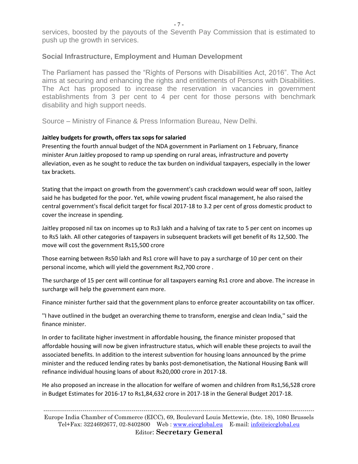services, boosted by the payouts of the Seventh Pay Commission that is estimated to push up the growth in services.

### **Social Infrastructure, Employment and Human Development**

The Parliament has passed the "Rights of Persons with Disabilities Act, 2016". The Act aims at securing and enhancing the rights and entitlements of Persons with Disabilities. The Act has proposed to increase the reservation in vacancies in government establishments from 3 per cent to 4 per cent for those persons with benchmark disability and high support needs.

Source – Ministry of Finance & Press Information Bureau, New Delhi.

#### **Jaitley budgets for growth, offers tax sops for salaried**

Presenting the fourth annual budget of the NDA government in Parliament on 1 February, finance minister Arun Jaitley proposed to ramp up spending on rural areas, infrastructure and poverty alleviation, even as he sought to reduce the tax burden on individual taxpayers, especially in the lower tax brackets.

Stating that the impact on growth from the government's cash crackdown would wear off soon, Jaitley said he has budgeted for the poor. Yet, while vowing prudent fiscal management, he also raised the central government's fiscal deficit target for fiscal 2017-18 to 3.2 per cent of gross domestic product to cover the increase in spending.

Jaitley proposed nil tax on incomes up to Rs3 lakh and a halving of tax rate to 5 per cent on incomes up to Rs5 lakh. All other categories of taxpayers in subsequent brackets will get benefit of Rs 12,500. The move will cost the government Rs15,500 crore

Those earning between Rs50 lakh and Rs1 crore will have to pay a surcharge of 10 per cent on their personal income, which will yield the government Rs2,700 crore .

The surcharge of 15 per cent will continue for all taxpayers earning Rs1 crore and above. The increase in surcharge will help the government earn more.

Finance minister further said that the government plans to enforce greater accountability on tax officer.

''I have outlined in the budget an overarching theme to transform, energise and clean India,'' said the finance minister.

In order to facilitate higher investment in affordable housing, the finance minister proposed that affordable housing will now be given infrastructure status, which will enable these projects to avail the associated benefits. In addition to the interest subvention for housing loans announced by the prime minister and the reduced lending rates by banks post-demonetisation, the National Housing Bank will refinance individual housing loans of about Rs20,000 crore in 2017-18.

He also proposed an increase in the allocation for welfare of women and children from Rs1,56,528 crore in Budget Estimates for 2016-17 to Rs1,84,632 crore in 2017-18 in the General Budget 2017-18.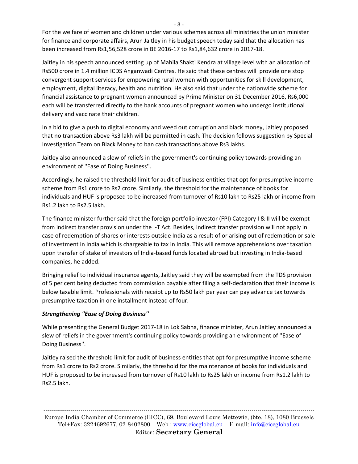For the welfare of women and children under various schemes across all ministries the union minister for finance and corporate affairs, Arun Jaitley in his budget speech today said that the allocation has been increased from Rs1,56,528 crore in BE 2016-17 to Rs1,84,632 crore in 2017-18.

Jaitley in his speech announced setting up of Mahila Shakti Kendra at village level with an allocation of Rs500 crore in 1.4 million ICDS Anganwadi Centres. He said that these centres will provide one stop convergent support services for empowering rural women with opportunities for skill development, employment, digital literacy, health and nutrition. He also said that under the nationwide scheme for financial assistance to pregnant women announced by Prime Minister on 31 December 2016, Rs6,000 each will be transferred directly to the bank accounts of pregnant women who undergo institutional delivery and vaccinate their children.

In a bid to give a push to digital economy and weed out corruption and black money, Jaitley proposed that no transaction above Rs3 lakh will be permitted in cash. The decision follows suggestion by Special Investigation Team on Black Money to ban cash transactions above Rs3 lakhs.

Jaitley also announced a slew of reliefs in the government's continuing policy towards providing an environment of ''Ease of Doing Business''.

Accordingly, he raised the threshold limit for audit of business entities that opt for presumptive income scheme from Rs1 crore to Rs2 crore. Similarly, the threshold for the maintenance of books for individuals and HUF is proposed to be increased from turnover of Rs10 lakh to Rs25 lakh or income from Rs1.2 lakh to Rs2.5 lakh.

The finance minister further said that the foreign portfolio investor (FPI) Category I & II will be exempt from indirect transfer provision under the I-T Act. Besides, indirect transfer provision will not apply in case of redemption of shares or interests outside India as a result of or arising out of redemption or sale of investment in India which is chargeable to tax in India. This will remove apprehensions over taxation upon transfer of stake of investors of India-based funds located abroad but investing in India-based companies, he added.

Bringing relief to individual insurance agents, Jaitley said they will be exempted from the TDS provision of 5 per cent being deducted from commission payable after filing a self-declaration that their income is below taxable limit. Professionals with receipt up to Rs50 lakh per year can pay advance tax towards presumptive taxation in one installment instead of four.

# *Strengthening ''Ease of Doing Business''*

While presenting the General Budget 2017-18 in Lok Sabha, finance minister, Arun Jaitley announced a slew of reliefs in the government's continuing policy towards providing an environment of ''Ease of Doing Business''.

Jaitley raised the threshold limit for audit of business entities that opt for presumptive income scheme from Rs1 crore to Rs2 crore. Similarly, the threshold for the maintenance of books for individuals and HUF is proposed to be increased from turnover of Rs10 lakh to Rs25 lakh or income from Rs1.2 lakh to Rs2.5 lakh.

- 8 -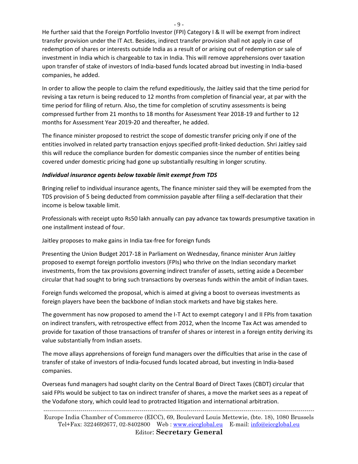He further said that the Foreign Portfolio Investor (FPI) Category I & II will be exempt from indirect transfer provision under the IT Act. Besides, indirect transfer provision shall not apply in case of redemption of shares or interests outside India as a result of or arising out of redemption or sale of investment in India which is chargeable to tax in India. This will remove apprehensions over taxation upon transfer of stake of investors of India-based funds located abroad but investing in India-based companies, he added.

In order to allow the people to claim the refund expeditiously, the Jaitley said that the time period for revising a tax return is being reduced to 12 months from completion of financial year, at par with the time period for filing of return. Also, the time for completion of scrutiny assessments is being compressed further from 21 months to 18 months for Assessment Year 2018-19 and further to 12 months for Assessment Year 2019-20 and thereafter, he added.

The finance minister proposed to restrict the scope of domestic transfer pricing only if one of the entities involved in related party transaction enjoys specified profit-linked deduction. Shri Jaitley said this will reduce the compliance burden for domestic companies since the number of entities being covered under domestic pricing had gone up substantially resulting in longer scrutiny.

#### *Individual insurance agents below taxable limit exempt from TDS*

Bringing relief to individual insurance agents, The finance minister said they will be exempted from the TDS provision of 5 being deducted from commission payable after filing a self-declaration that their income is below taxable limit.

Professionals with receipt upto Rs50 lakh annually can pay advance tax towards presumptive taxation in one installment instead of four.

Jaitley proposes to make gains in India tax-free for foreign funds

Presenting the Union Budget 2017-18 in Parliament on Wednesday, finance minister Arun Jaitley proposed to exempt foreign portfolio investors (FPIs) who thrive on the Indian secondary market investments, from the tax provisions governing indirect transfer of assets, setting aside a December circular that had sought to bring such transactions by overseas funds within the ambit of Indian taxes.

Foreign funds welcomed the proposal, which is aimed at giving a boost to overseas investments as foreign players have been the backbone of Indian stock markets and have big stakes here.

The government has now proposed to amend the I-T Act to exempt category I and II FPIs from taxation on indirect transfers, with retrospective effect from 2012, when the Income Tax Act was amended to provide for taxation of those transactions of transfer of shares or interest in a foreign entity deriving its value substantially from Indian assets.

The move allays apprehensions of foreign fund managers over the difficulties that arise in the case of transfer of stake of investors of India-focused funds located abroad, but investing in India-based companies.

Overseas fund managers had sought clarity on the Central Board of Direct Taxes (CBDT) circular that said FPIs would be subject to tax on indirect transfer of shares, a move the market sees as a repeat of the Vodafone story, which could lead to protracted litigation and international arbitration.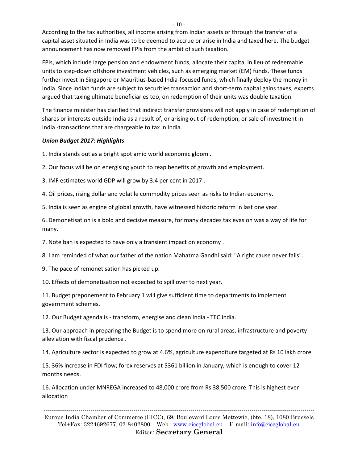According to the tax authorities, all income arising from Indian assets or through the transfer of a capital asset situated in India was to be deemed to accrue or arise in India and taxed here. The budget announcement has now removed FPIs from the ambit of such taxation.

FPIs, which include large pension and endowment funds, allocate their capital in lieu of redeemable units to step-down offshore investment vehicles, such as emerging market (EM) funds. These funds further invest in Singapore or Mauritius-based India-focused funds, which finally deploy the money in India. Since Indian funds are subject to securities transaction and short-term capital gains taxes, experts argued that taxing ultimate beneficiaries too, on redemption of their units was double taxation.

The finance minister has clarified that indirect transfer provisions will not apply in case of redemption of shares or interests outside India as a result of, or arising out of redemption, or sale of investment in India -transactions that are chargeable to tax in India.

#### *Union Budget 2017: Highlights*

1. India stands out as a bright spot amid world economic gloom .

2. Our focus will be on energising youth to reap benefits of growth and employment.

3. IMF estimates world GDP will grow by 3.4 per cent in 2017 .

4. Oil prices, rising dollar and volatile commodity prices seen as risks to Indian economy.

5. India is seen as engine of global growth, have witnessed historic reform in last one year.

6. Demonetisation is a bold and decisive measure, for many decades tax evasion was a way of life for many.

7. Note ban is expected to have only a transient impact on economy .

8. I am reminded of what our father of the nation Mahatma Gandhi said: "A right cause never fails".

9. The pace of remonetisation has picked up.

10. Effects of demonetisation not expected to spill over to next year.

11. Budget preponement to February 1 will give sufficient time to departments to implement government schemes.

12. Our Budget agenda is - transform, energise and clean India - TEC India.

13. Our approach in preparing the Budget is to spend more on rural areas, infrastructure and poverty alleviation with fiscal prudence .

14. Agriculture sector is expected to grow at 4.6%, agriculture expenditure targeted at Rs 10 lakh crore.

15. 36% increase in FDI flow; forex reserves at \$361 billion in January, which is enough to cover 12 months needs.

16. Allocation under MNREGA increased to 48,000 crore from Rs 38,500 crore. This is highest ever allocation

------------------------------------------------------------------------------------------------------------------------------------------

Europe India Chamber of Commerce (EICC), 69, Boulevard Louis Mettewie, (bte. 18), 1080 Brussels Tel+Fax: 3224692677, 02-8402800 Web : [www.eiccglobal.eu](http://www.eiccglobal.eu/) E-mail: [info@eiccglobal.eu](mailto:info@eiccglobal.eu) Editor: **Secretary General**

 $-10-$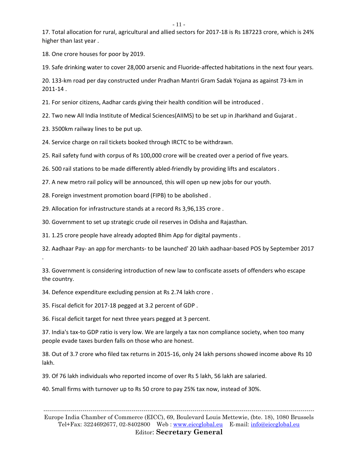- 11 -

17. Total allocation for rural, agricultural and allied sectors for 2017-18 is Rs 187223 crore, which is 24% higher than last year .

18. One crore houses for poor by 2019.

19. Safe drinking water to cover 28,000 arsenic and Fluoride-affected habitations in the next four years.

20. 133-km road per day constructed under Pradhan Mantri Gram Sadak Yojana as against 73-km in 2011-14 .

21. For senior citizens, Aadhar cards giving their health condition will be introduced .

22. Two new All India Institute of Medical Sciences(AIIMS) to be set up in Jharkhand and Gujarat .

23. 3500km railway lines to be put up.

.

24. Service charge on rail tickets booked through IRCTC to be withdrawn.

25. Rail safety fund with corpus of Rs 100,000 crore will be created over a period of five years.

26. 500 rail stations to be made differently abled-friendly by providing lifts and escalators .

27. A new metro rail policy will be announced, this will open up new jobs for our youth.

28. Foreign investment promotion board (FIPB) to be abolished .

29. Allocation for infrastructure stands at a record Rs 3,96,135 crore .

30. Government to set up strategic crude oil reserves in Odisha and Rajasthan.

31. 1.25 crore people have already adopted Bhim App for digital payments .

32. Aadhaar Pay- an app for merchants- to be launched' 20 lakh aadhaar-based POS by September 2017

33. Government is considering introduction of new law to confiscate assets of offenders who escape the country.

34. Defence expenditure excluding pension at Rs 2.74 lakh crore .

35. Fiscal deficit for 2017-18 pegged at 3.2 percent of GDP .

36. Fiscal deficit target for next three years pegged at 3 percent.

37. India's tax-to GDP ratio is very low. We are largely a tax non compliance society, when too many people evade taxes burden falls on those who are honest.

38. Out of 3.7 crore who filed tax returns in 2015-16, only 24 lakh persons showed income above Rs 10 lakh.

39. Of 76 lakh individuals who reported income of over Rs 5 lakh, 56 lakh are salaried.

40. Small firms with turnover up to Rs 50 crore to pay 25% tax now, instead of 30%.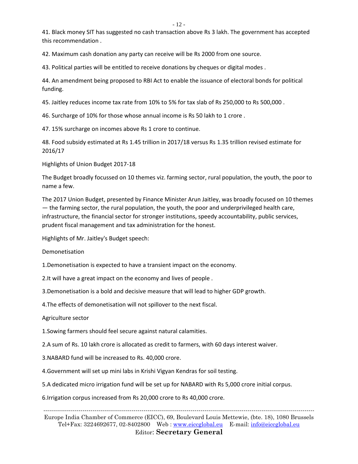- 12 -

41. Black money SIT has suggested no cash transaction above Rs 3 lakh. The government has accepted this recommendation .

42. Maximum cash donation any party can receive will be Rs 2000 from one source.

43. Political parties will be entitled to receive donations by cheques or digital modes .

44. An amendment being proposed to RBI Act to enable the issuance of electoral bonds for political funding.

45. Jaitley reduces income tax rate from 10% to 5% for tax slab of Rs 250,000 to Rs 500,000 .

46. Surcharge of 10% for those whose annual income is Rs 50 lakh to 1 crore .

47. 15% surcharge on incomes above Rs 1 crore to continue.

48. Food subsidy estimated at Rs 1.45 trillion in 2017/18 versus Rs 1.35 trillion revised estimate for 2016/17

Highlights of Union Budget 2017-18

The Budget broadly focussed on 10 themes viz. farming sector, rural population, the youth, the poor to name a few.

The 2017 Union Budget, presented by Finance Minister Arun Jaitley, was broadly focused on 10 themes — the farming sector, the rural population, the youth, the poor and underprivileged health care, infrastructure, the financial sector for stronger institutions, speedy accountability, public services, prudent fiscal management and tax administration for the honest.

Highlights of Mr. Jaitley's Budget speech:

Demonetisation

1.Demonetisation is expected to have a transient impact on the economy.

2.It will have a great impact on the economy and lives of people .

3.Demonetisation is a bold and decisive measure that will lead to higher GDP growth.

4.The effects of demonetisation will not spillover to the next fiscal.

#### Agriculture sector

1.Sowing farmers should feel secure against natural calamities.

2.A sum of Rs. 10 lakh crore is allocated as credit to farmers, with 60 days interest waiver.

3.NABARD fund will be increased to Rs. 40,000 crore.

4.Government will set up mini labs in Krishi Vigyan Kendras for soil testing.

5.A dedicated micro irrigation fund will be set up for NABARD with Rs 5,000 crore initial corpus.

6.Irrigation corpus increased from Rs 20,000 crore to Rs 40,000 crore.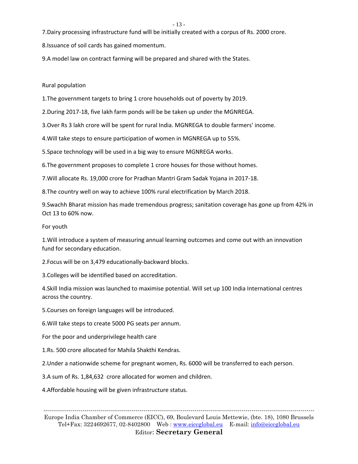7.Dairy processing infrastructure fund wlll be initially created with a corpus of Rs. 2000 crore.

8.Issuance of soil cards has gained momentum.

9.A model law on contract farming will be prepared and shared with the States.

Rural population

1.The government targets to bring 1 crore households out of poverty by 2019.

2.During 2017-18, five lakh farm ponds will be be taken up under the MGNREGA.

3.Over Rs 3 lakh crore will be spent for rural India. MGNREGA to double farmers' income.

4.Will take steps to ensure participation of women in MGNREGA up to 55%.

5.Space technology will be used in a big way to ensure MGNREGA works.

6.The government proposes to complete 1 crore houses for those without homes.

7.Will allocate Rs. 19,000 crore for Pradhan Mantri Gram Sadak Yojana in 2017-18.

8.The country well on way to achieve 100% rural electrification by March 2018.

9.Swachh Bharat mission has made tremendous progress; sanitation coverage has gone up from 42% in Oct 13 to 60% now.

For youth

1.Will introduce a system of measuring annual learning outcomes and come out with an innovation fund for secondary education.

2.Focus will be on 3,479 educationally-backward blocks.

3.Colleges will be identified based on accreditation.

4.Skill India mission was launched to maximise potential. Will set up 100 India International centres across the country.

5.Courses on foreign languages will be introduced.

6.Will take steps to create 5000 PG seats per annum.

For the poor and underprivilege health care

1.Rs. 500 crore allocated for Mahila Shakthi Kendras.

2.Under a nationwide scheme for pregnant women, Rs. 6000 will be transferred to each person.

3.A sum of Rs. 1,84,632 crore allocated for women and children.

4.Affordable housing will be given infrastructure status.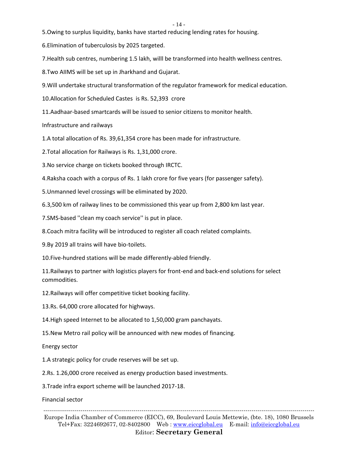5.Owing to surplus liquidity, banks have started reducing lending rates for housing.

6.Elimination of tuberculosis by 2025 targeted.

7.Health sub centres, numbering 1.5 lakh, willl be transformed into health wellness centres.

8.Two AIIMS will be set up in Jharkhand and Gujarat.

9.Will undertake structural transformation of the regulator framework for medical education.

10.Allocation for Scheduled Castes is Rs. 52,393 crore

11.Aadhaar-based smartcards will be issued to senior citizens to monitor health.

Infrastructure and railways

1.A total allocation of Rs. 39,61,354 crore has been made for infrastructure.

2.Total allocation for Railways is Rs. 1,31,000 crore.

3.No service charge on tickets booked through IRCTC.

4.Raksha coach with a corpus of Rs. 1 lakh crore for five years (for passenger safety).

5.Unmanned level crossings will be eliminated by 2020.

6.3,500 km of railway lines to be commissioned this year up from 2,800 km last year.

7.SMS-based ''clean my coach service'' is put in place.

8.Coach mitra facility will be introduced to register all coach related complaints.

9.By 2019 all trains will have bio-toilets.

10.Five-hundred stations will be made differently-abled friendly.

11.Railways to partner with logistics players for front-end and back-end solutions for select commodities.

12.Railways will offer competitive ticket booking facility.

13.Rs. 64,000 crore allocated for highways.

14.High speed Internet to be allocated to 1,50,000 gram panchayats.

15.New Metro rail policy will be announced with new modes of financing.

Energy sector

1.A strategic policy for crude reserves will be set up.

2.Rs. 1.26,000 crore received as energy production based investments.

3.Trade infra export scheme will be launched 2017-18.

Financial sector

------------------------------------------------------------------------------------------------------------------------------------------

Europe India Chamber of Commerce (EICC), 69, Boulevard Louis Mettewie, (bte. 18), 1080 Brussels Tel+Fax: 3224692677, 02-8402800 Web : [www.eiccglobal.eu](http://www.eiccglobal.eu/) E-mail: [info@eiccglobal.eu](mailto:info@eiccglobal.eu) Editor: **Secretary General**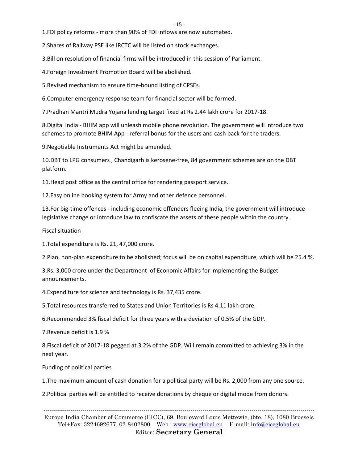1.FDI policy reforms - more than 90% of FDI inflows are now automated.

2.Shares of Railway PSE like IRCTC will be listed on stock exchanges.

3.Bill on resolution of financial firms will be introduced in this session of Parliament.

4.Foreign Investment Promotion Board will be abolished.

5.Revised mechanism to ensure time-bound listing of CPSEs.

6.Computer emergency response team for financial sector will be formed.

7.Pradhan Mantri Mudra Yojana lending target fixed at Rs 2.44 lakh crore for 2017-18.

8.Digital India - BHIM app will unleash mobile phone revolution. The government will introduce two schemes to promote BHIM App - referral bonus for the users and cash back for the traders.

9.Negotiable Instruments Act might be amended.

10.DBT to LPG consumers , Chandigarh is kerosene-free, 84 government schemes are on the DBT platform.

11.Head post office as the central office for rendering passport service.

12.Easy online booking system for Army and other defence personnel.

13.For big-time offences - including economic offenders fleeing India, the government will introduce legislative change or introduce law to confiscate the assets of these people within the country.

Fiscal situation

1.Total expenditure is Rs. 21, 47,000 crore.

2.Plan, non-plan expenditure to be abolished; focus will be on capital expenditure, which will be 25.4 %.

3.Rs. 3,000 crore under the Department of Economic Affairs for implementing the Budget announcements.

4.Expenditure for science and technology is Rs. 37,435 crore.

5.Total resources transferred to States and Union Territories is Rs 4.11 lakh crore.

6.Recommended 3% fiscal deficit for three years with a deviation of 0.5% of the GDP.

7.Revenue deficit is 1.9 %

8.Fiscal deficit of 2017-18 pegged at 3.2% of the GDP. Will remain committed to achieving 3% in the next year.

Funding of political parties

1.The maximum amount of cash donation for a political party will be Rs. 2,000 from any one source.

2.Political parties will be entitled to receive donations by cheque or digital mode from donors.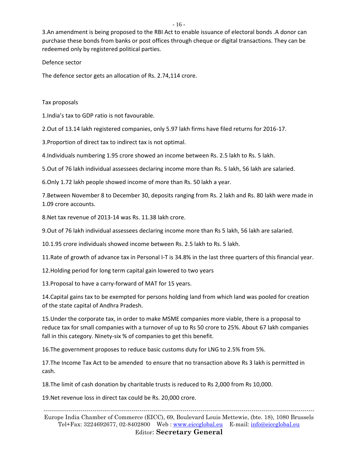3.An amendment is being proposed to the RBI Act to enable issuance of electoral bonds .A donor can purchase these bonds from banks or post offices through cheque or digital transactions. They can be redeemed only by registered political parties.

#### Defence sector

The defence sector gets an allocation of Rs. 2.74,114 crore.

#### Tax proposals

1.India's tax to GDP ratio is not favourable.

2.Out of 13.14 lakh registered companies, only 5.97 lakh firms have filed returns for 2016-17.

3.Proportion of direct tax to indirect tax is not optimal.

4.Individuals numbering 1.95 crore showed an income between Rs. 2.5 lakh to Rs. 5 lakh.

5.Out of 76 lakh individual assessees declaring income more than Rs. 5 lakh, 56 lakh are salaried.

6.Only 1.72 lakh people showed income of more than Rs. 50 lakh a year.

7.Between November 8 to December 30, deposits ranging from Rs. 2 lakh and Rs. 80 lakh were made in 1.09 crore accounts.

8.Net tax revenue of 2013-14 was Rs. 11.38 lakh crore.

9.Out of 76 lakh individual assessees declaring income more than Rs 5 lakh, 56 lakh are salaried.

10.1.95 crore individuals showed income between Rs. 2.5 lakh to Rs. 5 lakh.

11.Rate of growth of advance tax in Personal I-T is 34.8% in the last three quarters of this financial year.

12.Holding period for long term capital gain lowered to two years

13.Proposal to have a carry-forward of MAT for 15 years.

14.Capital gains tax to be exempted for persons holding land from which land was pooled for creation of the state capital of Andhra Pradesh.

15.Under the corporate tax, in order to make MSME companies more viable, there is a proposal to reduce tax for small companies with a turnover of up to Rs 50 crore to 25%. About 67 lakh companies fall in this category. Ninety-six % of companies to get this benefit.

16.The government proposes to reduce basic customs duty for LNG to 2.5% from 5%.

17.The Income Tax Act to be amended to ensure that no transaction above Rs 3 lakh is permitted in cash.

18.The limit of cash donation by charitable trusts is reduced to Rs 2,000 from Rs 10,000.

19.Net revenue loss in direct tax could be Rs. 20,000 crore.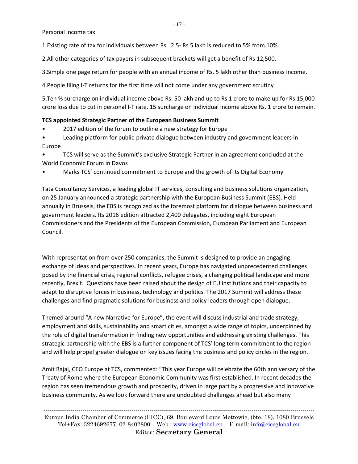Personal income tax

1.Existing rate of tax for individuals between Rs. 2.5- Rs 5 lakh is reduced to 5% from 10%.

2.All other categories of tax payers in subsequent brackets will get a benefit of Rs 12,500.

3.Simple one page return for people with an annual income of Rs. 5 lakh other than business income.

4.People filing I-T returns for the first time will not come under any government scrutiny

5.Ten % surcharge on individual income above Rs. 50 lakh and up to Rs 1 crore to make up for Rs 15,000 crore loss due to cut in personal I-T rate. 15 surcharge on individual income above Rs. 1 crore to remain.

#### **TCS appointed Strategic Partner of the European Business Summit**

- 2017 edition of the forum to outline a new strategy for Europe
- Leading platform for public-private dialogue between industry and government leaders in Europe

• TCS will serve as the Summit's exclusive Strategic Partner in an agreement concluded at the World Economic Forum in Davos

• Marks TCS' continued commitment to Europe and the growth of its Digital Economy

Tata Consultancy Services, a leading global IT services, consulting and business solutions organization, on 25 January announced a strategic partnership with the European Business Summit (EBS). Held annually in Brussels, the EBS is recognized as the foremost platform for dialogue between business and government leaders. Its 2016 edition attracted 2,400 delegates, including eight European Commissioners and the Presidents of the European Commission, European Parliament and European Council.

With representation from over 250 companies, the Summit is designed to provide an engaging exchange of ideas and perspectives. In recent years, Europe has navigated unprecedented challenges posed by the financial crisis, regional conflicts, refugee crises, a changing political landscape and more recently, Brexit. Questions have been raised about the design of EU institutions and their capacity to adapt to disruptive forces in business, technology and politics. The 2017 Summit will address these challenges and find pragmatic solutions for business and policy leaders through open dialogue.

Themed around "A new Narrative for Europe", the event will discuss industrial and trade strategy, employment and skills, sustainability and smart cities, amongst a wide range of topics, underpinned by the role of digital transformation in finding new opportunities and addressing existing challenges. This strategic partnership with the EBS is a further component of TCS' long term commitment to the region and will help propel greater dialogue on key issues facing the business and policy circles in the region.

Amit Bajaj, CEO Europe at TCS, commented: "This year Europe will celebrate the 60th anniversary of the Treaty of Rome where the European Economic Community was first established. In recent decades the region has seen tremendous growth and prosperity, driven in large part by a progressive and innovative business community. As we look forward there are undoubted challenges ahead but also many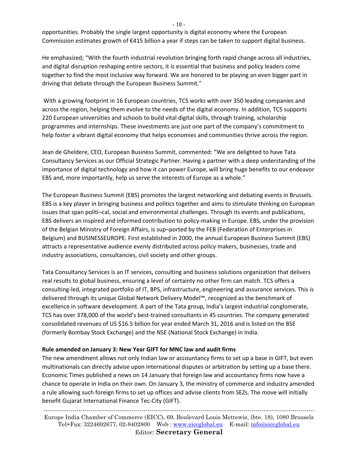- 18 -

opportunities. Probably the single largest opportunity is digital economy where the European Commission estimates growth of €415 billion a year if steps can be taken to support digital business.

He emphasized; "With the fourth industrial revolution bringing forth rapid change across all industries, and digital disruption reshaping entire sectors, it is essential that business and policy leaders come together to find the most inclusive way forward. We are honored to be playing an even bigger part in driving that debate through the European Business Summit."

With a growing footprint in 16 European countries, TCS works with over 350 leading companies and across the region, helping them evolve to the needs of the digital economy. In addition, TCS supports 220 European universities and schools to build vital digital skills, through training, scholarship programmes and internships. These investments are just one part of the company's commitment to help foster a vibrant digital economy that helps economies and communities thrive across the region.

Jean de Gheldere, CEO, European Business Summit, commented: "We are delighted to have Tata Consultancy Services as our Official Strategic Partner. Having a partner with a deep understanding of the importance of digital technology and how it can power Europe, will bring huge benefits to our endeavor EBS and, more importantly, help us serve the interests of Europe as a whole."

The European Business Summit (EBS) promotes the largest networking and debating events in Brussels. EBS is a key player in bringing business and politics together and aims to stimulate thinking on European issues that span politi¬cal, social and environmental challenges. Through its events and publications, EBS delivers an inspired and informed contribution to policy-making in Europe. EBS, under the provision of the Belgian Ministry of Foreign Affairs, is sup¬ported by the FEB (Federation of Enterprises in Belgium) and BUSINESSEUROPE. First established in 2000, the annual European Business Summit (EBS) attracts a representative audience evenly distributed across policy makers, businesses, trade and industry associations, consultancies, civil society and other groups.

Tata Consultancy Services is an IT services, consulting and business solutions organization that delivers real results to global business, ensuring a level of certainty no other firm can match. TCS offers a consulting-led, integrated portfolio of IT, BPS, infrastructure, engineering and assurance services. This is delivered through its unique Global Network Delivery Model™, recognized as the benchmark of excellence in software development. A part of the Tata group, India's largest industrial conglomerate, TCS has over 378,000 of the world's best-trained consultants in 45 countries. The company generated consolidated revenues of US \$16.5 billion for year ended March 31, 2016 and is listed on the BSE (formerly Bombay Stock Exchange) and the NSE (National Stock Exchange) in India.

#### **Rule amended on January 3: New Year GIFT for MNC law and audit firms**

The new amendment allows not only Indian law or accountancy firms to set up a base in GIFT, but even multinationals can directly advise upon international disputes or arbitration by setting up a base there. Economic Times published a news on 14 January that foreign law and accountancy firms now have a chance to operate in India on their own. On January 3, the ministry of commerce and industry amended a rule allowing such foreign firms to set up offices and advise clients from SEZs. The move will initially benefit Gujarat International Finance Tec-City (GIFT).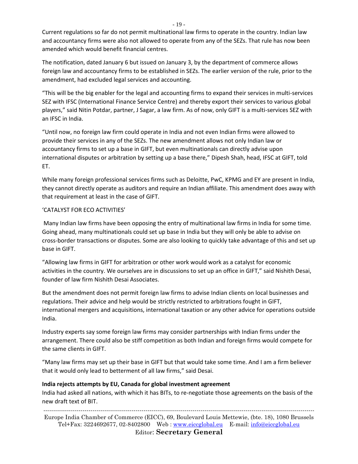Current regulations so far do not permit multinational law firms to operate in the country. Indian law and accountancy firms were also not allowed to operate from any of the SEZs. That rule has now been amended which would benefit financial centres.

The notification, dated January 6 but issued on January 3, by the department of commerce allows foreign law and accountancy firms to be established in SEZs. The earlier version of the rule, prior to the amendment, had excluded legal services and accounting.

"This will be the big enabler for the legal and accounting firms to expand their services in multi-services SEZ with IFSC (International Finance Service Centre) and thereby export their services to various global players," said Nitin Potdar, partner, J Sagar, a law firm. As of now, only GIFT is a multi-services SEZ with an IFSC in India.

"Until now, no foreign law firm could operate in India and not even Indian firms were allowed to provide their services in any of the SEZs. The new amendment allows not only Indian law or accountancy firms to set up a base in GIFT, but even multinationals can directly advise upon international disputes or arbitration by setting up a base there," Dipesh Shah, head, IFSC at GIFT, told ET.

While many foreign professional services firms such as Deloitte, PwC, KPMG and EY are present in India, they cannot directly operate as auditors and require an Indian affiliate. This amendment does away with that requirement at least in the case of GIFT.

#### 'CATALYST FOR ECO ACTIVITIES'

Many Indian law firms have been opposing the entry of multinational law firms in India for some time. Going ahead, many multinationals could set up base in India but they will only be able to advise on cross-border transactions or disputes. Some are also looking to quickly take advantage of this and set up base in GIFT.

"Allowing law firms in GIFT for arbitration or other work would work as a catalyst for economic activities in the country. We ourselves are in discussions to set up an office in GIFT," said Nishith Desai, founder of law firm Nishith Desai Associates.

But the amendment does not permit foreign law firms to advise Indian clients on local businesses and regulations. Their advice and help would be strictly restricted to arbitrations fought in GIFT, international mergers and acquisitions, international taxation or any other advice for operations outside India.

Industry experts say some foreign law firms may consider partnerships with Indian firms under the arrangement. There could also be stiff competition as both Indian and foreign firms would compete for the same clients in GIFT.

"Many law firms may set up their base in GIFT but that would take some time. And I am a firm believer that it would only lead to betterment of all law firms," said Desai.

#### **India rejects attempts by EU, Canada for global investment agreement**

India had asked all nations, with which it has BITs, to re-negotiate those agreements on the basis of the new draft text of BIT.

------------------------------------------------------------------------------------------------------------------------------------------ Europe India Chamber of Commerce (EICC), 69, Boulevard Louis Mettewie, (bte. 18), 1080 Brussels Tel+Fax: 3224692677, 02-8402800 Web : [www.eiccglobal.eu](http://www.eiccglobal.eu/) E-mail: [info@eiccglobal.eu](mailto:info@eiccglobal.eu)

Editor: **Secretary General**

- 19 -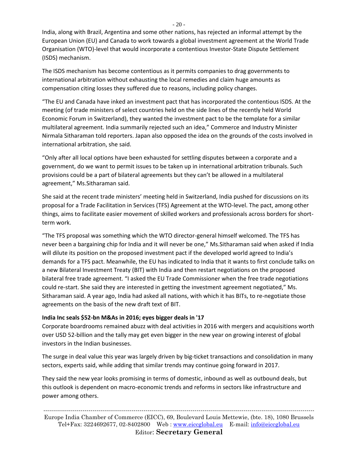India, along with Brazil, Argentina and some other nations, has rejected an informal attempt by the European Union (EU) and Canada to work towards a global investment agreement at the World Trade Organisation (WTO)-level that would incorporate a contentious Investor-State Dispute Settlement (ISDS) mechanism.

The ISDS mechanism has become contentious as it permits companies to drag governments to international arbitration without exhausting the local remedies and claim huge amounts as compensation citing losses they suffered due to reasons, including policy changes.

"The EU and Canada have inked an investment pact that has incorporated the contentious ISDS. At the meeting (of trade ministers of select countries held on the side lines of the recently held World Economic Forum in Switzerland), they wanted the investment pact to be the template for a similar multilateral agreement. India summarily rejected such an idea," Commerce and Industry Minister Nirmala Sitharaman told reporters. Japan also opposed the idea on the grounds of the costs involved in international arbitration, she said.

"Only after all local options have been exhausted for settling disputes between a corporate and a government, do we want to permit issues to be taken up in international arbitration tribunals. Such provisions could be a part of bilateral agreements but they can't be allowed in a multilateral agreement," Ms.Sitharaman said.

She said at the recent trade ministers' meeting held in Switzerland, India pushed for discussions on its proposal for a Trade Facilitation in Services (TFS) Agreement at the WTO-level. The pact, among other things, aims to facilitate easier movement of skilled workers and professionals across borders for shortterm work.

"The TFS proposal was something which the WTO director-general himself welcomed. The TFS has never been a bargaining chip for India and it will never be one," Ms.Sitharaman said when asked if India will dilute its position on the proposed investment pact if the developed world agreed to India's demands for a TFS pact. Meanwhile, the EU has indicated to India that it wants to first conclude talks on a new Bilateral Investment Treaty (BIT) with India and then restart negotiations on the proposed bilateral free trade agreement. "I asked the EU Trade Commissioner when the free trade negotiations could re-start. She said they are interested in getting the investment agreement negotiated," Ms. Sitharaman said. A year ago, India had asked all nations, with which it has BITs, to re-negotiate those agreements on the basis of the new draft text of BIT.

#### **India Inc seals \$52-bn M&As in 2016; eyes bigger deals in '17**

Corporate boardrooms remained abuzz with deal activities in 2016 with mergers and acquisitions worth over USD 52-billion and the tally may get even bigger in the new year on growing interest of global investors in the Indian businesses.

The surge in deal value this year was largely driven by big-ticket transactions and consolidation in many sectors, experts said, while adding that similar trends may continue going forward in 2017.

They said the new year looks promising in terms of domestic, inbound as well as outbound deals, but this outlook is dependent on macro-economic trends and reforms in sectors like infrastructure and power among others.

 $-20-$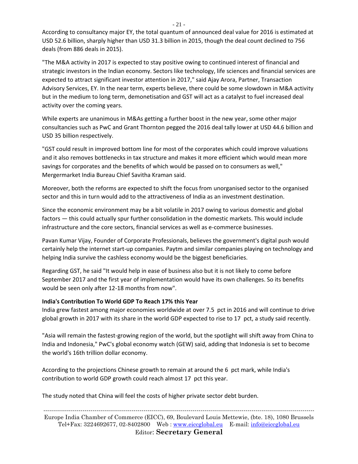According to consultancy major EY, the total quantum of announced deal value for 2016 is estimated at USD 52.6 billion, sharply higher than USD 31.3 billion in 2015, though the deal count declined to 756 deals (from 886 deals in 2015).

"The M&A activity in 2017 is expected to stay positive owing to continued interest of financial and strategic investors in the Indian economy. Sectors like technology, life sciences and financial services are expected to attract significant investor attention in 2017," said Ajay Arora, Partner, Transaction Advisory Services, EY. In the near term, experts believe, there could be some slowdown in M&A activity but in the medium to long term, demonetisation and GST will act as a catalyst to fuel increased deal activity over the coming years.

While experts are unanimous in M&As getting a further boost in the new year, some other major consultancies such as PwC and Grant Thornton pegged the 2016 deal tally lower at USD 44.6 billion and USD 35 billion respectively.

"GST could result in improved bottom line for most of the corporates which could improve valuations and it also removes bottlenecks in tax structure and makes it more efficient which would mean more savings for corporates and the benefits of which would be passed on to consumers as well," Mergermarket India Bureau Chief Savitha Kraman said.

Moreover, both the reforms are expected to shift the focus from unorganised sector to the organised sector and this in turn would add to the attractiveness of India as an investment destination.

Since the economic environment may be a bit volatile in 2017 owing to various domestic and global factors — this could actually spur further consolidation in the domestic markets. This would include infrastructure and the core sectors, financial services as well as e-commerce businesses.

Pavan Kumar Vijay, Founder of Corporate Professionals, believes the government's digital push would certainly help the internet start-up companies. Paytm and similar companies playing on technology and helping India survive the cashless economy would be the biggest beneficiaries.

Regarding GST, he said "It would help in ease of business also but it is not likely to come before September 2017 and the first year of implementation would have its own challenges. So its benefits would be seen only after 12-18 months from now".

#### **India's Contribution To World GDP To Reach 17% this Year**

India grew fastest among major economies worldwide at over 7.5 pct in 2016 and will continue to drive global growth in 2017 with its share in the world GDP expected to rise to 17 pct, a study said recently.

"Asia will remain the fastest-growing region of the world, but the spotlight will shift away from China to India and Indonesia," PwC's global economy watch (GEW) said, adding that Indonesia is set to become the world's 16th trillion dollar economy.

According to the projections Chinese growth to remain at around the 6 pct mark, while India's contribution to world GDP growth could reach almost 17 pct this year.

The study noted that China will feel the costs of higher private sector debt burden.

------------------------------------------------------------------------------------------------------------------------------------------ Europe India Chamber of Commerce (EICC), 69, Boulevard Louis Mettewie, (bte. 18), 1080 Brussels Tel+Fax: 3224692677, 02-8402800 Web : [www.eiccglobal.eu](http://www.eiccglobal.eu/) E-mail: [info@eiccglobal.eu](mailto:info@eiccglobal.eu) Editor: **Secretary General**

- 21 -